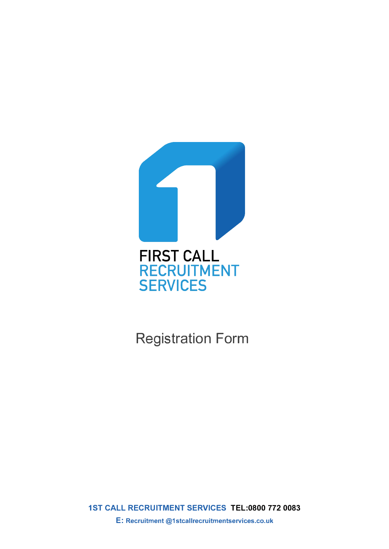

Registration Form

**1ST CALL RECRUITMENT SERVICES TEL:0800 772 0083 E: Recruitment @1stcallrecruitmentservices.co.uk**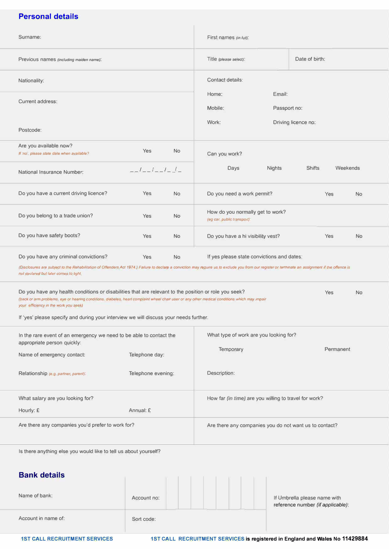# **Personal details**

| Surname:                                                                                                                                                                                                                                                                                        |                    | First names (in full):                                                       |                                                                   |  |
|-------------------------------------------------------------------------------------------------------------------------------------------------------------------------------------------------------------------------------------------------------------------------------------------------|--------------------|------------------------------------------------------------------------------|-------------------------------------------------------------------|--|
| Previous names (including maiden name):                                                                                                                                                                                                                                                         |                    | Title (please select):                                                       | Date of birth:                                                    |  |
| Nationality:                                                                                                                                                                                                                                                                                    |                    | Contact details:                                                             |                                                                   |  |
| Current address:                                                                                                                                                                                                                                                                                |                    | Email:<br>Home:<br>Mobile:                                                   | Passport no:                                                      |  |
| Postcode:                                                                                                                                                                                                                                                                                       |                    | Work:                                                                        | Driving licence no:                                               |  |
| Are you available now?<br>If 'no', please state date when available?                                                                                                                                                                                                                            | Yes<br><b>No</b>   | Can you work?                                                                |                                                                   |  |
| National Insurance Number:                                                                                                                                                                                                                                                                      | $-1 - 1 - 1$       | <b>Nights</b><br>Days                                                        | <b>Shifts</b><br>Weekends                                         |  |
| Do you have a current driving licence?                                                                                                                                                                                                                                                          | Yes<br><b>No</b>   | Do you need a work permit?                                                   | Yes<br><b>No</b>                                                  |  |
| Do you belong to a trade union?                                                                                                                                                                                                                                                                 | Yes<br><b>No</b>   | How do you normally get to work?<br>(eg car, public transport):              |                                                                   |  |
| Do you have safety boots?                                                                                                                                                                                                                                                                       | Yes<br><b>No</b>   | Do you have a hi visibility vest?                                            | <b>No</b><br><b>Yes</b>                                           |  |
| Do you have any criminal convictions?<br>(Disclosures are subject to the Rehabilitation of Offenders Act 1974.) Failure to declare a conviction may require us to exclude you from our register or terminate an assignment if the offence is<br>not declared but later comes to light           | Yes<br><b>No</b>   | If yes please state convictions and dates:                                   |                                                                   |  |
| Do you have any health conditions or disabilities that are relevant to the position or role you seek?<br>(back or arm problems, eye or hearing conditions, diabetes, heart complaint wheel chair user or any other medical conditions which may impair<br>your efficiency in the work you seek) |                    |                                                                              | Yes<br><b>No</b>                                                  |  |
| If 'yes' please specify and during your interview we will discuss your needs further.                                                                                                                                                                                                           |                    |                                                                              |                                                                   |  |
| In the rare event of an emergency we need to be able to contact the<br>appropriate person quickly:                                                                                                                                                                                              |                    | What type of work are you looking for?                                       |                                                                   |  |
| Name of emergency contact:                                                                                                                                                                                                                                                                      | Telephone day:     | Temporary                                                                    | Permanent                                                         |  |
| Relationship (e.g. partner, parent):                                                                                                                                                                                                                                                            | Telephone evening: | Description:                                                                 |                                                                   |  |
| What salary are you looking for?                                                                                                                                                                                                                                                                |                    | How far (in time) are you willing to travel for work?                        |                                                                   |  |
| Hourly: £                                                                                                                                                                                                                                                                                       | Annual: £          |                                                                              |                                                                   |  |
| Are there any companies you'd prefer to work for?                                                                                                                                                                                                                                               |                    | Are there any companies you do not want us to contact?                       |                                                                   |  |
| Is there anything else you would like to tell us about yourself?                                                                                                                                                                                                                                |                    |                                                                              |                                                                   |  |
| <b>Bank details</b>                                                                                                                                                                                                                                                                             |                    |                                                                              |                                                                   |  |
| Name of bank:                                                                                                                                                                                                                                                                                   | Account no:        |                                                                              | If Umbrella please name with<br>reference number (if applicable): |  |
| Account in name of:                                                                                                                                                                                                                                                                             | Sort code:         |                                                                              |                                                                   |  |
| <b>1ST CALL RECRUITMENT SERVICES</b>                                                                                                                                                                                                                                                            |                    | 1ST CALL RECRUITMENT SERVICES is registered in England and Wales No 11429884 |                                                                   |  |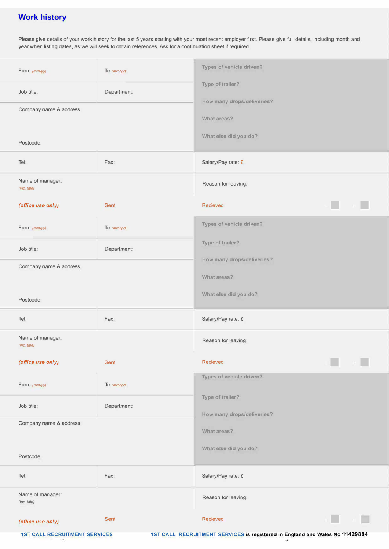# **Work history**

Please give details of your work history for the last 5 years starting with your most recent employer first. Please give full details, including month and year when listing dates, as we will seek to obtain references. Ask for a continuation sheet if required.

| From (mm/yy):                                        | To $(mm/yy)$ :          | Types of vehicle driven?                                                     |
|------------------------------------------------------|-------------------------|------------------------------------------------------------------------------|
| Job title:<br>Department:<br>Company name & address: |                         | Type of trailer?<br>How many drops/deliveries?<br>What areas?                |
| Postcode:                                            |                         | What else did you do?                                                        |
| Tel:                                                 | Fax:                    | Salary/Pay rate: £                                                           |
| Name of manager:<br>(inc. title)                     |                         | Reason for leaving:                                                          |
| (office use only)                                    | <b>Sent</b>             | Recieved                                                                     |
| From (mm/yy):                                        | To $(mm\gamma\gamma)$ : | Types of vehicle driven?                                                     |
| Job title:                                           | Department:             | Type of trailer?                                                             |
| Company name & address:                              |                         | How many drops/deliveries?<br>What areas?                                    |
| Postcode:                                            |                         | What else did you do?                                                        |
| Tel:                                                 | Fax:                    | Salary/Pay rate: £                                                           |
| Name of manager:<br>(inc. title)                     |                         | Reason for leaving:                                                          |
| (office use only)                                    | <b>Sent</b>             | <b>Recieved</b>                                                              |
| From (mm/yy):                                        | To $(mm/yy)$ :          | Types of vehicle driven?                                                     |
| Job title:                                           | Department:             | Type of trailer?<br>How many drops/deliveries?                               |
| Company name & address:                              |                         | What areas?                                                                  |
| Postcode:                                            |                         | What else did you do?                                                        |
| Tel:                                                 | Fax:                    | Salary/Pay rate: £                                                           |
| Name of manager:<br>$(inc.$ title $)$                |                         | Reason for leaving:                                                          |
| (office use only)                                    | <b>Sent</b>             | <b>Recieved</b>                                                              |
| <b>1ST CALL RECRUITMENT SERVICES</b>                 |                         | 1ST CALL RECRUITMENT SERVICES is registered in England and Wales No 11429884 |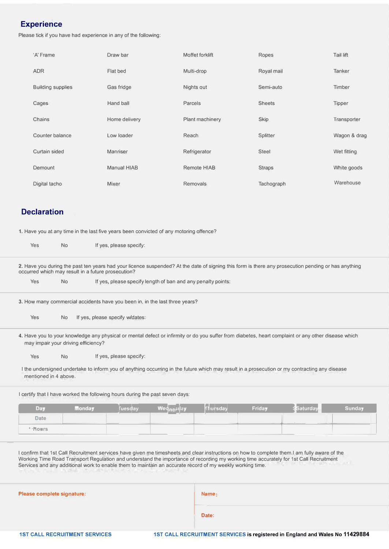# **Experience**

Please tick if you have had experience in any of the following:

| 'A' Frame                | Draw bar           | Moffet forklift    | Ropes           | Tail lift    |
|--------------------------|--------------------|--------------------|-----------------|--------------|
| <b>ADR</b>               | Flat bed           | Multi-drop         | Royal mail      | Tanker       |
| <b>Building supplies</b> | Gas fridge         | Nights out         | Semi-auto       | Timber       |
| Cages                    | Hand ball          | Parcels            | <b>Sheets</b>   | Tipper       |
| Chains                   | Home delivery      | Plant machinery    | Skip            | Transporter  |
| Counter balance          | Low loader         | Reach              | <b>Splitter</b> | Wagon & drag |
| Curtain sided            | Manriser           | Refrigerator       | <b>Steel</b>    | Wet fitting  |
| Demount                  | <b>Manual HIAB</b> | <b>Remote HIAB</b> | <b>Straps</b>   | White goods  |
| Digital tacho            | Mixer              | Removals           | Tachograph      | Warehouse    |

# **Declaration**

**1.** Have you at any time in the last five years been convicted of any motoring offence?

| Yes                                                | <b>No</b>                           |               | If yes, please specify:         |                                                                              |          |        |                                                                                                                                                     |               |
|----------------------------------------------------|-------------------------------------|---------------|---------------------------------|------------------------------------------------------------------------------|----------|--------|-----------------------------------------------------------------------------------------------------------------------------------------------------|---------------|
| occurred which may result in a future prosecution? |                                     |               |                                 |                                                                              |          |        | 2. Have you during the past ten years had your licence suspended? At the date of signing this form is there any prosecution pending or has anything |               |
| Yes                                                | <b>No</b>                           |               |                                 | If yes, please specify length of ban and any penalty points:                 |          |        |                                                                                                                                                     |               |
|                                                    |                                     |               |                                 | 3. How many commercial accidents have you been in, in the last three years?  |          |        |                                                                                                                                                     |               |
| Yes                                                | <b>No</b>                           |               | If yes, please specify w/dates: |                                                                              |          |        |                                                                                                                                                     |               |
|                                                    | may impair your driving efficiency? |               |                                 |                                                                              |          |        | 4. Have you to your knowledge any physical or mental defect or infirmity or do you suffer from diabetes, heart complaint or any other disease which |               |
| Yes                                                | <b>No</b>                           |               | If yes, please specify:         |                                                                              |          |        |                                                                                                                                                     |               |
| mentioned in 4 above.                              |                                     |               |                                 |                                                                              |          |        | I the undersigned undertake to inform you of anything occurring in the future which may result in a prosecution or my contracting any disease       |               |
|                                                    |                                     |               |                                 | I certify that I have worked the following hours during the past seven days: |          |        |                                                                                                                                                     |               |
| Day                                                |                                     | <b>Monday</b> | <b>Tuesday</b>                  | Wednesday                                                                    | Thursday | Friday | <b>Saturday</b>                                                                                                                                     | <b>Sunday</b> |
| <b>Date</b>                                        |                                     |               |                                 |                                                                              |          |        |                                                                                                                                                     |               |
| <b><i>'</i></b> Rowrs                              |                                     |               |                                 |                                                                              |          |        |                                                                                                                                                     |               |
|                                                    |                                     |               |                                 |                                                                              |          |        |                                                                                                                                                     |               |

I confirm that 1st Call Recruitment services have given me timesheets and clear instructions on how to complete them.I am fully aware of the Working Time Road Transport Regulation and understand the importance of recording my working time accurately for 1st Call Recruitment Services and any additional work to enable them to maintain an accurate record of my weekly working time.

| Please complete signature: |  |
|----------------------------|--|
|                            |  |

 $Name:$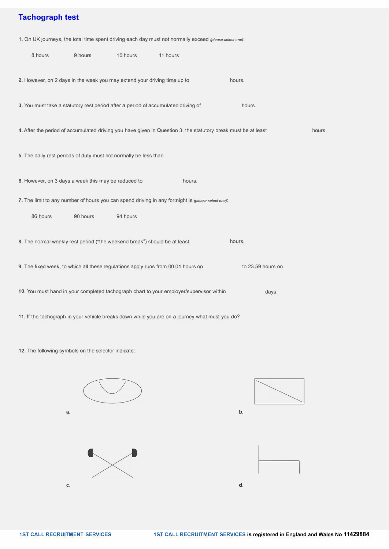# **Tachograph test**

**1.** On UK journeys, the total time spent driving each day must not normally exceed *(please select one):* 

| 8 hours                                                                   | 9 hours  | 10 hours | 11 hours                                                                                                      |                   |        |
|---------------------------------------------------------------------------|----------|----------|---------------------------------------------------------------------------------------------------------------|-------------------|--------|
| 2. However, on 2 days in the week you may extend your driving time up to  |          |          |                                                                                                               | hours.            |        |
|                                                                           |          |          | 3. You must take a statutory rest period after a period of accumulated driving of                             | hours.            |        |
|                                                                           |          |          | 4. After the period of accumulated driving you have given in Question 3, the statutory break must be at least |                   | hours. |
| 5. The daily rest periods of duty must not normally be less than          |          |          |                                                                                                               |                   |        |
| 6. However, on 3 days a week this may be reduced to                       |          |          | hours.                                                                                                        |                   |        |
|                                                                           |          |          | 7. The limit to any number of hours you can spend driving in any fortnight is (please select one):            |                   |        |
| 86 hours                                                                  | 90 hours | 94 hours |                                                                                                               |                   |        |
| 8. The normal weekly rest period ("the weekend break") should be at least |          |          |                                                                                                               | hours.            |        |
|                                                                           |          |          | 9. The fixed week, to which all these regulations apply runs from 00.01 hours on                              | to 23.59 hours on |        |
|                                                                           |          |          | 10. You must hand in your completed tachograph chart to your employer/supervisor within                       | days.             |        |
|                                                                           |          |          | 11. If the tachograph in your vehicle breaks down while you are on a journey what must you do?                |                   |        |

**12.** The following symbols on the selector indicate:





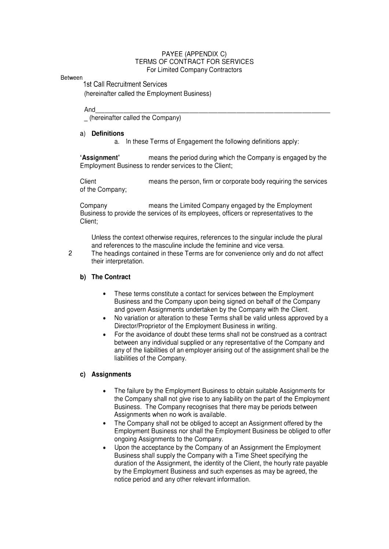### PAYEE (APPENDIX C) TERMS OF CONTRACT FOR SERVICES For Limited Company Contractors

#### Between

1st Call Recruitment Services (hereinafter called the Employment Business)

And \_\_\_\_\_\_\_\_\_\_\_\_\_\_\_\_\_\_\_\_\_\_\_\_ \_ \_ (hereinafter called the Company)

#### **a) Definitions**

a. In these Terms of Engagement the following definitions apply:

**'Assignment'** means the period during which the Company is engaged by the Employment Business to render services to the Client;

Client means the person, firm or corporate body requiring the services of the Company;

Company means the Limited Company engaged by the Employment Business to provide the services of its employees, officers or representatives to the Client;

Unless the context otherwise requires, references to the singular include the plural and references to the masculine include the feminine and vice versa.

2 The headings contained in these Terms are for convenience only and do not affect their interpretation.

### **b) The Contract**

- These terms constitute a contact for services between the Employment Business and the Company upon being signed on behalf of the Company and govern Assignments undertaken by the Company with the Client.
- No variation or alteration to these Terms shall be valid unless approved by a Director/Proprietor of the Employment Business in writing.
- For the avoidance of doubt these terms shall not be construed as a contract between any individual supplied or any representative of the Company and any of the liabilities of an employer arising out of the assignment shall be the liabilities of the Company.

### **c) Assignments**

- The failure by the Employment Business to obtain suitable Assignments for the Company shall not give rise to any liability on the part of the Employment Business. The Company recognises that there may be periods between Assignments when no work is available.
- The Company shall not be obliged to accept an Assignment offered by the Employment Business nor shall the Employment Business be obliged to offer ongoing Assignments to the Company.
- Upon the acceptance by the Company of an Assignment the Employment Business shall supply the Company with a Time Sheet specifying the duration of the Assignment, the identity of the Client, the hourly rate payable by the Employment Business and such expenses as may be agreed, the notice period and any other relevant information.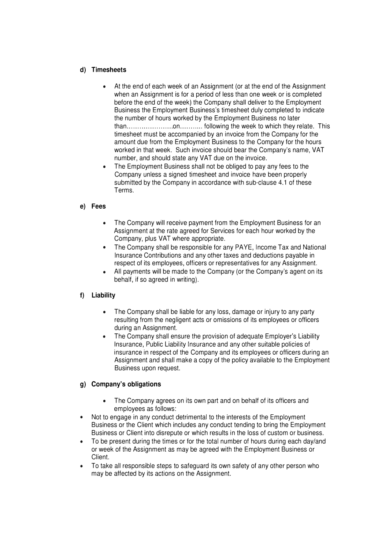### **d) Timesheets**

- At the end of each week of an Assignment (or at the end of the Assignment when an Assignment is for a period of less than one week or is completed before the end of the week) the Company shall deliver to the Employment Business the Employment Business's timesheet duly completed to indicate the number of hours worked by the Employment Business no later than ...................... on ........... following the week to which they relate. This timesheet must be accompanied by an invoice from the Company for the amount due from the Employment Business to the Company for the hours worked in that week. Such invoice should bear the Company's name, VAT number, and should state any VAT due on the invoice.
- The Employment Business shall not be obliged to pay any fees to the Company unless a signed timesheet and invoice have been properly submitted by the Company in accordance with sub-clause 4.1 of these Terms.

### **e) Fees**

- The Company will receive payment from the Employment Business for an Assignment at the rate agreed for Services for each hour worked by the Company, plus VAT where appropriate.
- The Company shall be responsible for any PAYE, Income Tax and National Insurance Contributions and any other taxes and deductions payable in respect of its employees, officers or representatives for any Assignment.
- All payments will be made to the Company (or the Company's agent on its behalf, if so agreed in writing).

### **f) Liability**

- The Company shall be liable for any loss, damage or injury to any party resulting from the negligent acts or omissions of its employees or officers during an Assignment.
- The Company shall ensure the provision of adequate Employer's Liability Insurance, Public Liability Insurance and any other suitable policies of insurance in respect of the Company and its employees or officers during an Assignment and shall make a copy of the policy available to the Employment Business upon request.

### **g) Company's obligations**

- The Company agrees on its own part and on behalf of its officers and employees as follows:
- Not to engage in any conduct detrimental to the interests of the Employment Business or the Client which includes any conduct tending to bring the Employment Business or Client into disrepute or which results in the loss of custom or business.
- To be present during the times or for the total number of hours during each day/and or week of the Assignment as may be agreed with the Employment Business or Client.
- To take all responsible steps to safeguard its own safety of any other person who may be affected by its actions on the Assignment.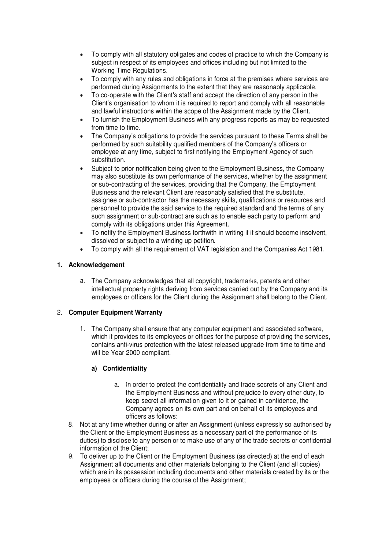- To comply with all statutory obligates and codes of practice to which the Company is subject in respect of its employees and offices including but not limited to the Working Time Regulations.
- To comply with any rules and obligations in force at the premises where services are performed during Assignments to the extent that they are reasonably applicable.
- To co-operate with the Client's staff and accept the direction of any person in the Client's organisation to whom it is required to report and comply with all reasonable and lawful instructions within the scope of the Assignment made by the Client.
- To furnish the Employment Business with any progress reports as may be requested from time to time.
- The Company's obligations to provide the services pursuant to these Terms shall be performed by such suitability qualified members of the Company's officers or employee at any time, subject to first notifying the Employment Agency of such substitution.
- Subject to prior notification being given to the Employment Business, the Company may also substitute its own performance of the services, whether by the assignment or sub-contracting of the services, providing that the Company, the Employment Business and the relevant Client are reasonably satisfied that the substitute, assignee or sub-contractor has the necessary skills, qualifications or resources and personnel to provide the said service to the required standard and the terms of any such assignment or sub-contract are such as to enable each party to perform and comply with its obligations under this Agreement.
- To notify the Employment Business forthwith in writing if it should become insolvent, dissolved or subject to a winding up petition.
- To comply with all the requirement of VAT legislation and the Companies Act 1981.

### **1. Acknowledgement**

a. The Company acknowledges that all copyright, trademarks, patents and other intellectual property rights deriving from services carried out by the Company and its employees or officers for the Client during the Assignment shall belong to the Client.

## **2. Computer Equipment Warranty**

1. The Company shall ensure that any computer equipment and associated software, which it provides to its employees or offices for the purpose of providing the services, contains anti-virus protection with the latest released upgrade from time to time and will be Year 2000 compliant.

### **a) Confidentiality**

- a. In order to protect the confidentiality and trade secrets of any Client and the Employment Business and without prejudice to every other duty, to keep secret all information given to it or gained in confidence, the Company agrees on its own part and on behalf of its employees and officers as follows:
- 8. Not at any time whether during or after an Assignment (unless expressly so authorised by the Client or the Employment Business as a necessary part of the performance of its duties) to disclose to any person or to make use of any of the trade secrets or confidential information of the Client;
- 9. To deliver up to the Client or the Employment Business (as directed) at the end of each Assignment all documents and other materials belonging to the Client (and all copies) which are in its possession including documents and other materials created by its or the employees or officers during the course of the Assignment;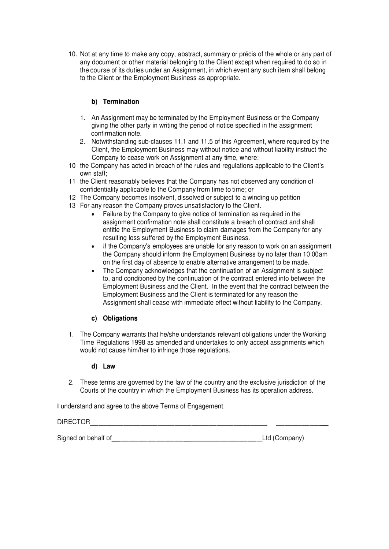10. Not at any time to make any copy, abstract, summary or precis of the whole or any part of any document or other material belonging to the Client except when required to do so in the course of its duties under an Assignment, in which event any such item shall belong to the Client or the Employment Business as appropriate.

## **b) Termination**

- 1. An Assignment may be terminated by the Employment Business or the Company giving the other party in writing the period of notice specified in the assignment confirmation note.
- 2. Notwithstanding sub-clauses 11.1 and 11.5 of this Agreement, where required by the Client, the Employment Business may without notice and without liability instruct the Company to cease work on Assignment at any time, where:
- 10 the Company has acted in breach of the rules and regulations applicable to the Client's own staff;
- 11 the Client reasonably believes that the Company has not observed any condition of confidentiality applicable to the Company from time to time; or
- 12 The Company becomes insolvent, dissolved or subject to a winding up petition
- 13 For any reason the Company proves unsatisfactory to the Client.
	- Failure by the Company to give notice of termination as required in the assignment confirmation note shall constitute a breach of contract and shall entitle the Employment Business to claim damages from the Company for any resulting loss suffered by the Employment Business.
	- If the Company's employees are unable for any reason to work on an assignment the Company should inform the Employment Business by no later than 1 0.00am on the first day of absence to enable alternative arrangement to be made.
	- The Company acknowledges that the continuation of an Assignment is subject to, and conditioned by the continuation of the contract entered into between the Employment Business and the Client. In the event that the contract between the Employment Business and the Client is terminated for any reason the Assignment shall cease with immediate effect without liability to the Company.

### **c) Obligations**

1. The Company warrants that he/she understands relevant obligations under the Working Time Regulations 1998 as amended and undertakes to only accept assignments which would not cause him/her to infringe those regulations.

### **d) Law**

2. These terms are governed by the law of the country and the exclusive jurisdiction of the Courts of the country in which the Employment Business has its operation address.

I understand and agree to the above Terms of Engagement.

# DIRECTOR --------------------- ------

Signed on behalf of \_\_\_\_\_\_\_\_\_\_\_\_\_\_\_\_\_ Ltd (Company)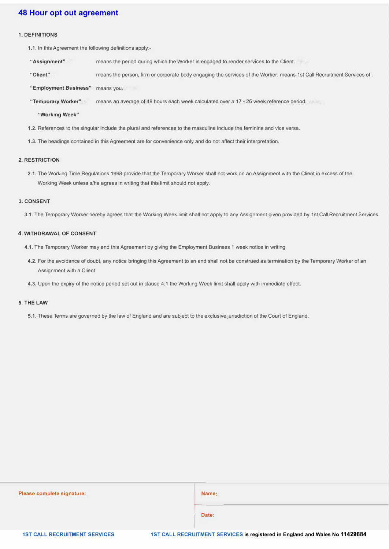### **48 Hour opt out agreement**

#### **1. DEFINITIONS**

**1.1.** In this Agreement the following definitions apply:-

**"Assignment"**  means the period during which the Worker is engaged to render services to the Client.

**"Client"**  means the person, firm or corporate body engaging the services of the Worker. means 1st Call Recruitment Services of.

**"Employment Business"**  means you.

**"Temporary Worker"**  means an average of 48 hours each week calculated over a 17 - 26 week reference period.

**"Working Week"** 

- **1.2.** References to the singular include the plural and references to the masculine include the feminine and vice versa.
- **1.3.** The headings contained in this Agreement are for convenience only and do not affect their interpretation.

#### **2. RESTRICTION**

**2.1.** The Working Time Regulations 1998 provide that the Temporary Worker shall not work on an Assignment with the Client in excess of the Working Week unless s/he agrees in writing that this limit should not apply.

#### **3. CONSENT**

**3.1.** The Temporary Worker hereby agrees that the Working Week limit shall not apply to any Assignment given provided by 1st Call Recruitment Services.

#### **4. WITHDRAWAL OF CONSENT**

- **4.1.** The Temporary Worker may end this Agreement by giving the Employment Business 1 week notice in writing.
- **4.2.** For the avoidance of doubt, any notice bringing this Agreement to an end shall not be construed as termination by the Temporary Worker of an Assignment with a Client.
- **4.3.** Upon the expiry of the notice period set out in clause 4.1 the Working Week limit shall apply with immediate effect.

#### **5. THE LAW**

**5.1.** These Terms are governed by the law of England and are subject to the exclusive jurisdiction of the Court of England.

| Please complete signature:           | Name:                                                                        |
|--------------------------------------|------------------------------------------------------------------------------|
|                                      | Date:                                                                        |
| <b>1ST CALL RECRUITMENT SERVICES</b> | 1ST CALL RECRUITMENT SERVICES is registered in England and Wales No 11429884 |